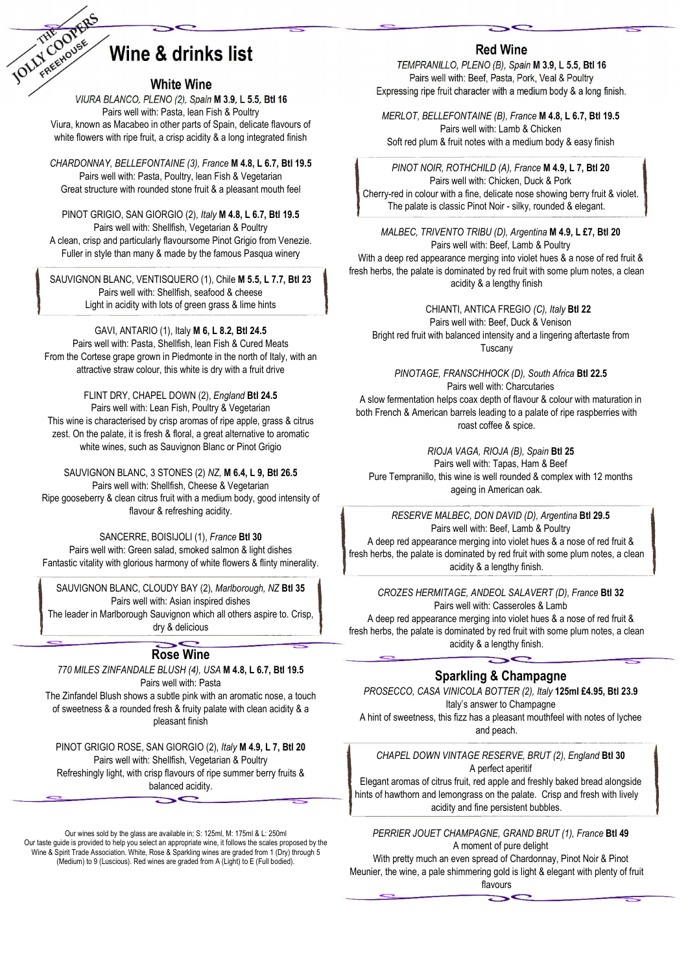

# Wine & drinks list

#### White Wine

VIURA BLANCO, PLENO (2), Spain M 3.9, L 5.5, Btl 16 Pairs well with: Pasta, lean Fish & Poultry Viura, known as Macabeo in other parts of Spain, delicate flavours of white flowers with ripe fruit, a crisp acidity & a long integrated finish

CHARDONNAY, BELLEFONTAINE (3), France M 4.8, L 6.7, Btl 19.5 Pairs well with: Pasta, Poultry, lean Fish & Vegetarian Great structure with rounded stone fruit & a pleasant mouth feel

PINOT GRIGIO, SAN GIORGIO (2), Italy M 4.8, L 6.7, Btl 19.5 Pairs well with: Shellfish, Vegetarian & Poultry A clean, crisp and particularly flavoursome Pinot Grigio from Venezie. Fuller in style than many & made by the famous Pasqua winery

SAUVIGNON BLANC, VENTISQUERO (1), Chile M 5.5, L 7.7, Btl 23 Pairs well with: Shellfish, seafood & cheese Light in acidity with lots of green grass & lime hints

GAVI, ANTARIO (1), Italy M 6, L 8.2, Btl 24.5

Pairs well with: Pasta, Shellfish, lean Fish & Cured Meats From the Cortese grape grown in Piedmonte in the north of Italy, with an attractive straw colour, this white is dry with a fruit drive

FLINT DRY, CHAPEL DOWN (2), England Btl 24.5 Pairs well with: Lean Fish, Poultry & Vegetarian This wine is characterised by crisp aromas of ripe apple, grass & citrus zest. On the palate, it is fresh & floral, a great alternative to aromatic white wines, such as Sauvignon Blanc or Pinot Grigio

SAUVIGNON BLANC, 3 STONES (2) NZ, M 6.4, L 9, Btl 26.5 Pairs well with: Shellfish, Cheese & Vegetarian Ripe gooseberry & clean citrus fruit with a medium body, good intensity of flavour & refreshing acidity.

SANCERRE, BOISIJOLI (1), France Btl 30 Pairs well with: Green salad, smoked salmon & light dishes Fantastic vitality with glorious harmony of white flowers & flinty minerality.

SAUVIGNON BLANC, CLOUDY BAY (2), Marlborough, NZ Btl 35 Pairs well with: Asian inspired dishes The leader in Marlborough Sauvignon which all others aspire to. Crisp, dry & delicious

## Rose Wine

770 MILES ZINFANDALE BLUSH (4), USA M 4.8, L 6.7, Btl 19.5 Pairs well with: Pasta The Zinfandel Blush shows a subtle pink with an aromatic nose, a touch of sweetness & a rounded fresh & fruity palate with clean acidity & a

pleasant finish

PINOT GRIGIO ROSE, SAN GIORGIO (2), Italy M 4.9, L 7, Btl 20 Pairs well with: Shellfish, Vegetarian & Poultry Refreshingly light, with crisp flavours of ripe summer berry fruits & balanced acidity.

Our wines sold by the glass are available in; S: 125ml, M: 175ml & L: 250ml Our taste guide is provided to help you select an appropriate wine, it follows the scales proposed by the Wine & Spirit Trade Association. White, Rose & Sparkling wines are graded from 1 (Dry) through 5 (Medium) to 9 (Luscious). Red wines are graded from A (Light) to E (Full bodied).

### Red Wine

TEMPRANILLO, PLENO (B), Spain M 3.9, L 5.5, Btl 16 Pairs well with: Beef, Pasta, Pork, Veal & Poultry Expressing ripe fruit character with a medium body & a long finish.

MERLOT, BELLEFONTAINE (B), France M 4.8, L 6.7, Btl 19.5 Pairs well with: Lamb & Chicken Soft red plum & fruit notes with a medium body & easy finish

PINOT NOIR, ROTHCHILD (A), France M 4.9, L 7, Btl 20 Pairs well with: Chicken, Duck & Pork Cherry-red in colour with a fine, delicate nose showing berry fruit & violet. The palate is classic Pinot Noir - silky, rounded & elegant.

MALBEC, TRIVENTO TRIBU (D), Argentina M 4.9, L £7, Btl 20 Pairs well with: Beef, Lamb & Poultry With a deep red appearance merging into violet hues & a nose of red fruit & fresh herbs, the palate is dominated by red fruit with some plum notes, a clean acidity & a lengthy finish

CHIANTI, ANTICA FREGIO (C), Italy Btl 22 Pairs well with: Beef, Duck & Venison Bright red fruit with balanced intensity and a lingering aftertaste from Tuscany

PINOTAGE, FRANSCHHOCK (D), South Africa Btl 22.5 Pairs well with: Charcutaries A slow fermentation helps coax depth of flavour & colour with maturation in both French & American barrels leading to a palate of ripe raspberries with roast coffee & spice.

RIOJA VAGA, RIOJA (B), Spain Btl 25 Pairs well with: Tapas, Ham & Beef Pure Tempranillo, this wine is well rounded & complex with 12 months ageing in American oak.

RESERVE MALBEC, DON DAVID (D), Argentina Btl 29.5 Pairs well with: Beef, Lamb & Poultry A deep red appearance merging into violet hues & a nose of red fruit & fresh herbs, the palate is dominated by red fruit with some plum notes, a clean acidity & a lengthy finish.

CROZES HERMITAGE, ANDEOL SALAVERT (D), France Btl 32 Pairs well with: Casseroles & Lamb A deep red appearance merging into violet hues & a nose of red fruit & fresh herbs, the palate is dominated by red fruit with some plum notes, a clean acidity & a lengthy finish.

Sparkling & Champagne

PROSECCO, CASA VINICOLA BOTTER (2), Italy 125ml £4.95, Btl 23.9 Italy's answer to Champagne A hint of sweetness, this fizz has a pleasant mouthfeel with notes of lychee and peach.

CHAPEL DOWN VINTAGE RESERVE, BRUT (2), England Btl 30 A perfect aperitif

Elegant aromas of citrus fruit, red apple and freshly baked bread alongside hints of hawthorn and lemongrass on the palate. Crisp and fresh with lively acidity and fine persistent bubbles.

PERRIER JOUET CHAMPAGNE, GRAND BRUT (1), France Btl 49 A moment of pure delight

With pretty much an even spread of Chardonnay, Pinot Noir & Pinot Meunier, the wine, a pale shimmering gold is light & elegant with plenty of fruit flavours